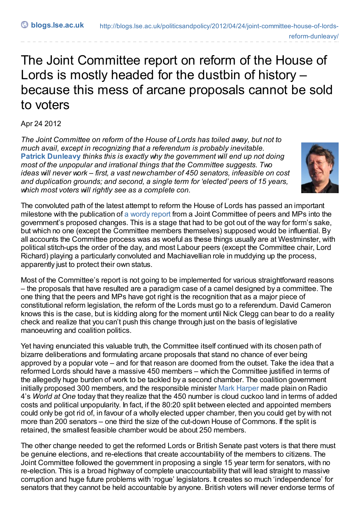## The Joint Committee report on reform of the House of Lords is mostly headed for the dustbin of history – because this mess of arcane proposals cannot be sold to voters

Apr 24 2012

*The Joint Committee on reform of the House of Lords has toiled away, but not to much avail, except in recognizing that a referendum is probably inevitable.* **Patrick [Dunleavy](http://blogs.lse.ac.uk/impactofsocialsciences/blog-contributors/#Patrick_Dunleavy)** *thinks this is exactly why the government will end up not doing most of the unpopular and irrational things that the Committee suggests. Two ideas will never work – first, a vast newchamber of 450 senators, infeasible on cost and duplication grounds; and second, a single term for 'elected' peers of 15 years, which most voters will rightly see as a complete con.*



The convoluted path of the latest attempt to reform the House of Lords has passed an important milestone with the publication of a [wordy](http://www.publications.parliament.uk/pa/jt201012/jtselect/jtdraftref/284/28402.htm) report from a Joint Committee of peers and MPs into the government's proposed changes. This is a stage that had to be got out of the way for form's sake, but which no one (except the Committee members themselves) supposed would be influential. By all accounts the Committee process was as woeful as these things usually are at Westminster, with political stitch-ups the order of the day, and most Labour peers (except the Committee chair, Lord Richard) playing a particularly convoluted and Machiavellian role in muddying up the process, apparently just to protect their own status.

Most of the Committee's report is not going to be implemented for various straightforward reasons – the proposals that have resulted are a paradigm case of a camel designed by a committee. The one thing that the peers and MPs have got right is the recognition that as a major piece of constitutional reform legislation, the reform of the Lords must go to a referendum. David Cameron knows this is the case, but is kidding along for the moment until Nick Clegg can bear to do a reality check and realize that you can't push this change through just on the basis of legislative manoeuvring and coalition politics.

Yet having enunciated this valuable truth, the Committee itself continued with its chosen path of bizarre deliberations and formulating arcane proposals that stand no chance of ever being approved by a popular vote – and for that reason are doomed from the outset. Take the idea that a reformed Lords should have a massive 450 members – which the Committee justified in terms of the allegedly huge burden of work to be tackled by a second chamber. The coalition government initially proposed 300 members, and the responsible minister Mark [Harper](http://www.bbc.co.uk/news/uk-politics-17809945) made plain on Radio 4's *World at One* today that they realize that the 450 number is cloud cuckoo land in terms of added costs and political unpopularity. In fact, if the 80:20 split between elected and appointed members could only be got rid of, in favour of a wholly elected upper chamber, then you could get by with not more than 200 senators – one third the size of the cut-down House of Commons. If the split is retained, the smallest feasible chamber would be about 250 members.

The other change needed to get the reformed Lords or British Senate past voters is that there must be genuine elections, and re-elections that create accountability of the members to citizens. The Joint Committee followed the government in proposing a single 15 year term for senators, with no re-election. This is a broad highway of complete unaccountability that will lead straight to massive corruption and huge future problems with 'rogue' legislators. It creates so much 'independence' for senators that they cannot be held accountable by anyone. British voters will never endorse terms of